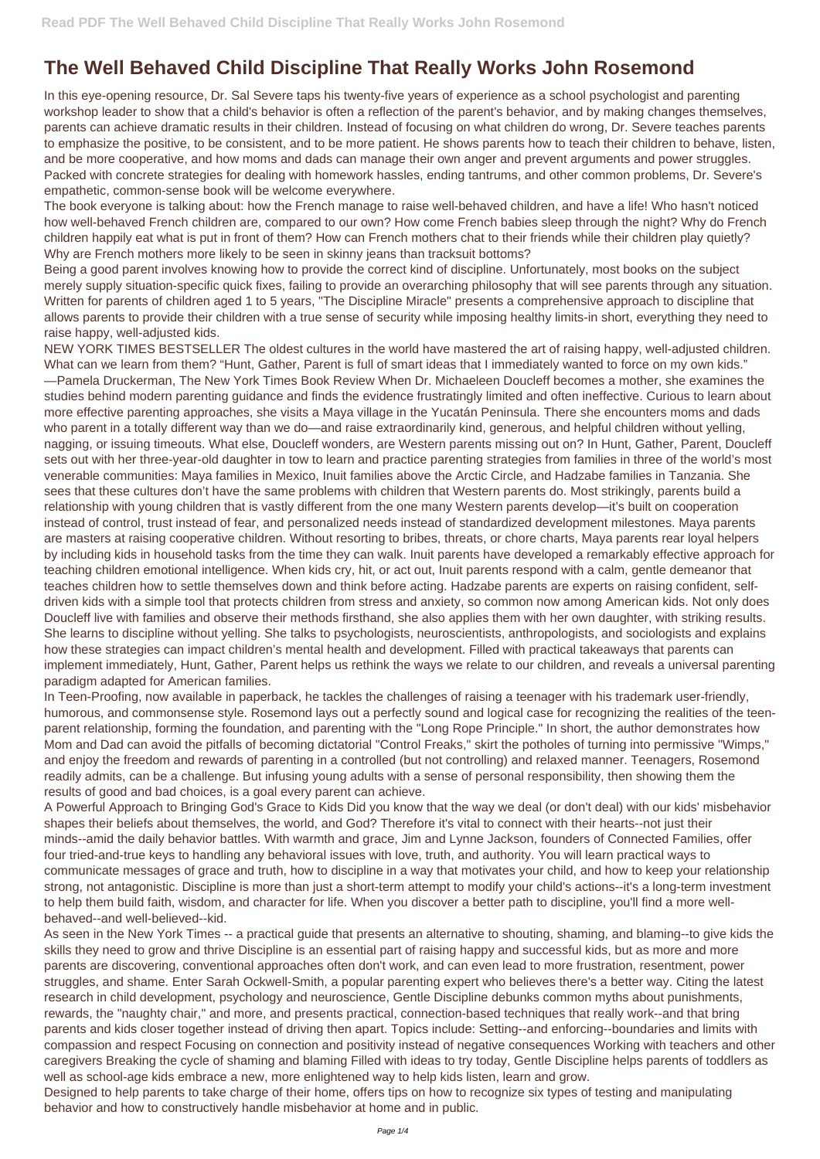## **The Well Behaved Child Discipline That Really Works John Rosemond**

In this eye-opening resource, Dr. Sal Severe taps his twenty-five years of experience as a school psychologist and parenting workshop leader to show that a child's behavior is often a reflection of the parent's behavior, and by making changes themselves, parents can achieve dramatic results in their children. Instead of focusing on what children do wrong, Dr. Severe teaches parents to emphasize the positive, to be consistent, and to be more patient. He shows parents how to teach their children to behave, listen, and be more cooperative, and how moms and dads can manage their own anger and prevent arguments and power struggles. Packed with concrete strategies for dealing with homework hassles, ending tantrums, and other common problems, Dr. Severe's empathetic, common-sense book will be welcome everywhere.

The book everyone is talking about: how the French manage to raise well-behaved children, and have a life! Who hasn't noticed how well-behaved French children are, compared to our own? How come French babies sleep through the night? Why do French children happily eat what is put in front of them? How can French mothers chat to their friends while their children play quietly? Why are French mothers more likely to be seen in skinny jeans than tracksuit bottoms?

Being a good parent involves knowing how to provide the correct kind of discipline. Unfortunately, most books on the subject merely supply situation-specific quick fixes, failing to provide an overarching philosophy that will see parents through any situation. Written for parents of children aged 1 to 5 years, "The Discipline Miracle" presents a comprehensive approach to discipline that allows parents to provide their children with a true sense of security while imposing healthy limits-in short, everything they need to raise happy, well-adjusted kids.

NEW YORK TIMES BESTSELLER The oldest cultures in the world have mastered the art of raising happy, well-adjusted children. What can we learn from them? "Hunt, Gather, Parent is full of smart ideas that I immediately wanted to force on my own kids." —Pamela Druckerman, The New York Times Book Review When Dr. Michaeleen Doucleff becomes a mother, she examines the studies behind modern parenting guidance and finds the evidence frustratingly limited and often ineffective. Curious to learn about more effective parenting approaches, she visits a Maya village in the Yucatán Peninsula. There she encounters moms and dads who parent in a totally different way than we do—and raise extraordinarily kind, generous, and helpful children without yelling, nagging, or issuing timeouts. What else, Doucleff wonders, are Western parents missing out on? In Hunt, Gather, Parent, Doucleff sets out with her three-year-old daughter in tow to learn and practice parenting strategies from families in three of the world's most venerable communities: Maya families in Mexico, Inuit families above the Arctic Circle, and Hadzabe families in Tanzania. She sees that these cultures don't have the same problems with children that Western parents do. Most strikingly, parents build a relationship with young children that is vastly different from the one many Western parents develop—it's built on cooperation instead of control, trust instead of fear, and personalized needs instead of standardized development milestones. Maya parents are masters at raising cooperative children. Without resorting to bribes, threats, or chore charts, Maya parents rear loyal helpers by including kids in household tasks from the time they can walk. Inuit parents have developed a remarkably effective approach for teaching children emotional intelligence. When kids cry, hit, or act out, Inuit parents respond with a calm, gentle demeanor that teaches children how to settle themselves down and think before acting. Hadzabe parents are experts on raising confident, selfdriven kids with a simple tool that protects children from stress and anxiety, so common now among American kids. Not only does Doucleff live with families and observe their methods firsthand, she also applies them with her own daughter, with striking results. She learns to discipline without yelling. She talks to psychologists, neuroscientists, anthropologists, and sociologists and explains how these strategies can impact children's mental health and development. Filled with practical takeaways that parents can implement immediately, Hunt, Gather, Parent helps us rethink the ways we relate to our children, and reveals a universal parenting paradigm adapted for American families.

In Teen-Proofing, now available in paperback, he tackles the challenges of raising a teenager with his trademark user-friendly, humorous, and commonsense style. Rosemond lays out a perfectly sound and logical case for recognizing the realities of the teenparent relationship, forming the foundation, and parenting with the "Long Rope Principle." In short, the author demonstrates how Mom and Dad can avoid the pitfalls of becoming dictatorial "Control Freaks," skirt the potholes of turning into permissive "Wimps," and enjoy the freedom and rewards of parenting in a controlled (but not controlling) and relaxed manner. Teenagers, Rosemond readily admits, can be a challenge. But infusing young adults with a sense of personal responsibility, then showing them the results of good and bad choices, is a goal every parent can achieve.

A Powerful Approach to Bringing God's Grace to Kids Did you know that the way we deal (or don't deal) with our kids' misbehavior shapes their beliefs about themselves, the world, and God? Therefore it's vital to connect with their hearts--not just their minds--amid the daily behavior battles. With warmth and grace, Jim and Lynne Jackson, founders of Connected Families, offer four tried-and-true keys to handling any behavioral issues with love, truth, and authority. You will learn practical ways to communicate messages of grace and truth, how to discipline in a way that motivates your child, and how to keep your relationship strong, not antagonistic. Discipline is more than just a short-term attempt to modify your child's actions--it's a long-term investment to help them build faith, wisdom, and character for life. When you discover a better path to discipline, you'll find a more wellbehaved--and well-believed--kid. As seen in the New York Times -- a practical guide that presents an alternative to shouting, shaming, and blaming--to give kids the skills they need to grow and thrive Discipline is an essential part of raising happy and successful kids, but as more and more parents are discovering, conventional approaches often don't work, and can even lead to more frustration, resentment, power struggles, and shame. Enter Sarah Ockwell-Smith, a popular parenting expert who believes there's a better way. Citing the latest research in child development, psychology and neuroscience, Gentle Discipline debunks common myths about punishments, rewards, the "naughty chair," and more, and presents practical, connection-based techniques that really work--and that bring parents and kids closer together instead of driving then apart. Topics include: Setting--and enforcing--boundaries and limits with compassion and respect Focusing on connection and positivity instead of negative consequences Working with teachers and other caregivers Breaking the cycle of shaming and blaming Filled with ideas to try today, Gentle Discipline helps parents of toddlers as well as school-age kids embrace a new, more enlightened way to help kids listen, learn and grow. Designed to help parents to take charge of their home, offers tips on how to recognize six types of testing and manipulating behavior and how to constructively handle misbehavior at home and in public.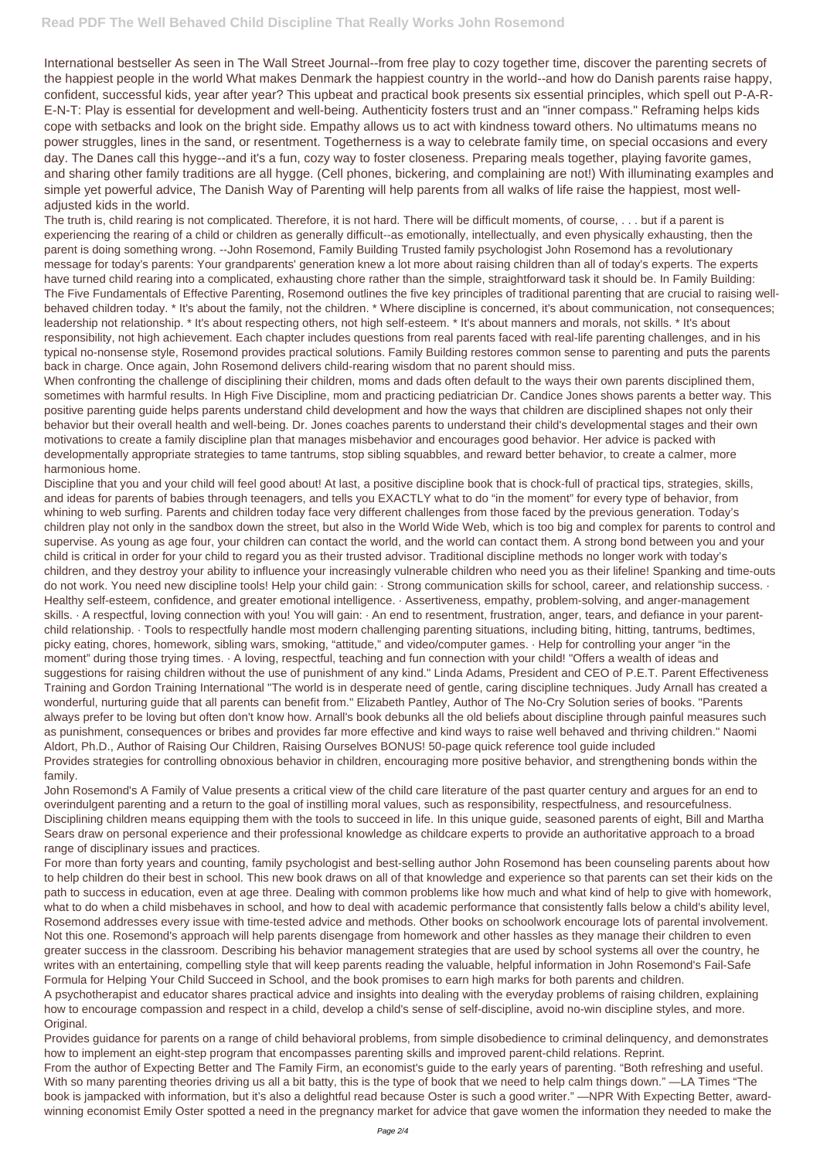International bestseller As seen in The Wall Street Journal--from free play to cozy together time, discover the parenting secrets of the happiest people in the world What makes Denmark the happiest country in the world--and how do Danish parents raise happy, confident, successful kids, year after year? This upbeat and practical book presents six essential principles, which spell out P-A-R-E-N-T: Play is essential for development and well-being. Authenticity fosters trust and an "inner compass." Reframing helps kids cope with setbacks and look on the bright side. Empathy allows us to act with kindness toward others. No ultimatums means no power struggles, lines in the sand, or resentment. Togetherness is a way to celebrate family time, on special occasions and every day. The Danes call this hygge--and it's a fun, cozy way to foster closeness. Preparing meals together, playing favorite games, and sharing other family traditions are all hygge. (Cell phones, bickering, and complaining are not!) With illuminating examples and simple yet powerful advice, The Danish Way of Parenting will help parents from all walks of life raise the happiest, most welladjusted kids in the world.

The truth is, child rearing is not complicated. Therefore, it is not hard. There will be difficult moments, of course, . . . but if a parent is experiencing the rearing of a child or children as generally difficult--as emotionally, intellectually, and even physically exhausting, then the parent is doing something wrong. --John Rosemond, Family Building Trusted family psychologist John Rosemond has a revolutionary message for today's parents: Your grandparents' generation knew a lot more about raising children than all of today's experts. The experts have turned child rearing into a complicated, exhausting chore rather than the simple, straightforward task it should be. In Family Building: The Five Fundamentals of Effective Parenting, Rosemond outlines the five key principles of traditional parenting that are crucial to raising wellbehaved children today. \* It's about the family, not the children. \* Where discipline is concerned, it's about communication, not consequences; leadership not relationship. \* It's about respecting others, not high self-esteem. \* It's about manners and morals, not skills. \* It's about responsibility, not high achievement. Each chapter includes questions from real parents faced with real-life parenting challenges, and in his typical no-nonsense style, Rosemond provides practical solutions. Family Building restores common sense to parenting and puts the parents back in charge. Once again, John Rosemond delivers child-rearing wisdom that no parent should miss.

When confronting the challenge of disciplining their children, moms and dads often default to the ways their own parents disciplined them, sometimes with harmful results. In High Five Discipline, mom and practicing pediatrician Dr. Candice Jones shows parents a better way. This positive parenting guide helps parents understand child development and how the ways that children are disciplined shapes not only their behavior but their overall health and well-being. Dr. Jones coaches parents to understand their child's developmental stages and their own motivations to create a family discipline plan that manages misbehavior and encourages good behavior. Her advice is packed with developmentally appropriate strategies to tame tantrums, stop sibling squabbles, and reward better behavior, to create a calmer, more harmonious home.

Discipline that you and your child will feel good about! At last, a positive discipline book that is chock-full of practical tips, strategies, skills, and ideas for parents of babies through teenagers, and tells you EXACTLY what to do "in the moment" for every type of behavior, from whining to web surfing. Parents and children today face very different challenges from those faced by the previous generation. Today's children play not only in the sandbox down the street, but also in the World Wide Web, which is too big and complex for parents to control and supervise. As young as age four, your children can contact the world, and the world can contact them. A strong bond between you and your child is critical in order for your child to regard you as their trusted advisor. Traditional discipline methods no longer work with today's children, and they destroy your ability to influence your increasingly vulnerable children who need you as their lifeline! Spanking and time-outs do not work. You need new discipline tools! Help your child gain: · Strong communication skills for school, career, and relationship success. · Healthy self-esteem, confidence, and greater emotional intelligence. · Assertiveness, empathy, problem-solving, and anger-management skills. · A respectful, loving connection with you! You will gain: · An end to resentment, frustration, anger, tears, and defiance in your parentchild relationship. · Tools to respectfully handle most modern challenging parenting situations, including biting, hitting, tantrums, bedtimes, picky eating, chores, homework, sibling wars, smoking, "attitude," and video/computer games. · Help for controlling your anger "in the moment" during those trying times. · A loving, respectful, teaching and fun connection with your child! "Offers a wealth of ideas and suggestions for raising children without the use of punishment of any kind." Linda Adams, President and CEO of P.E.T. Parent Effectiveness Training and Gordon Training International "The world is in desperate need of gentle, caring discipline techniques. Judy Arnall has created a wonderful, nurturing guide that all parents can benefit from." Elizabeth Pantley, Author of The No-Cry Solution series of books. "Parents always prefer to be loving but often don't know how. Arnall's book debunks all the old beliefs about discipline through painful measures such as punishment, consequences or bribes and provides far more effective and kind ways to raise well behaved and thriving children." Naomi Aldort, Ph.D., Author of Raising Our Children, Raising Ourselves BONUS! 50-page quick reference tool guide included Provides strategies for controlling obnoxious behavior in children, encouraging more positive behavior, and strengthening bonds within the family.

John Rosemond's A Family of Value presents a critical view of the child care literature of the past quarter century and argues for an end to overindulgent parenting and a return to the goal of instilling moral values, such as responsibility, respectfulness, and resourcefulness. Disciplining children means equipping them with the tools to succeed in life. In this unique guide, seasoned parents of eight, Bill and Martha Sears draw on personal experience and their professional knowledge as childcare experts to provide an authoritative approach to a broad range of disciplinary issues and practices.

For more than forty years and counting, family psychologist and best-selling author John Rosemond has been counseling parents about how to help children do their best in school. This new book draws on all of that knowledge and experience so that parents can set their kids on the path to success in education, even at age three. Dealing with common problems like how much and what kind of help to give with homework, what to do when a child misbehaves in school, and how to deal with academic performance that consistently falls below a child's ability level, Rosemond addresses every issue with time-tested advice and methods. Other books on schoolwork encourage lots of parental involvement. Not this one. Rosemond's approach will help parents disengage from homework and other hassles as they manage their children to even greater success in the classroom. Describing his behavior management strategies that are used by school systems all over the country, he writes with an entertaining, compelling style that will keep parents reading the valuable, helpful information in John Rosemond's Fail-Safe Formula for Helping Your Child Succeed in School, and the book promises to earn high marks for both parents and children. A psychotherapist and educator shares practical advice and insights into dealing with the everyday problems of raising children, explaining how to encourage compassion and respect in a child, develop a child's sense of self-discipline, avoid no-win discipline styles, and more. Original. Provides guidance for parents on a range of child behavioral problems, from simple disobedience to criminal delinquency, and demonstrates how to implement an eight-step program that encompasses parenting skills and improved parent-child relations. Reprint. From the author of Expecting Better and The Family Firm, an economist's guide to the early years of parenting. "Both refreshing and useful. With so many parenting theories driving us all a bit batty, this is the type of book that we need to help calm things down." —LA Times "The book is jampacked with information, but it's also a delightful read because Oster is such a good writer." —NPR With Expecting Better, awardwinning economist Emily Oster spotted a need in the pregnancy market for advice that gave women the information they needed to make the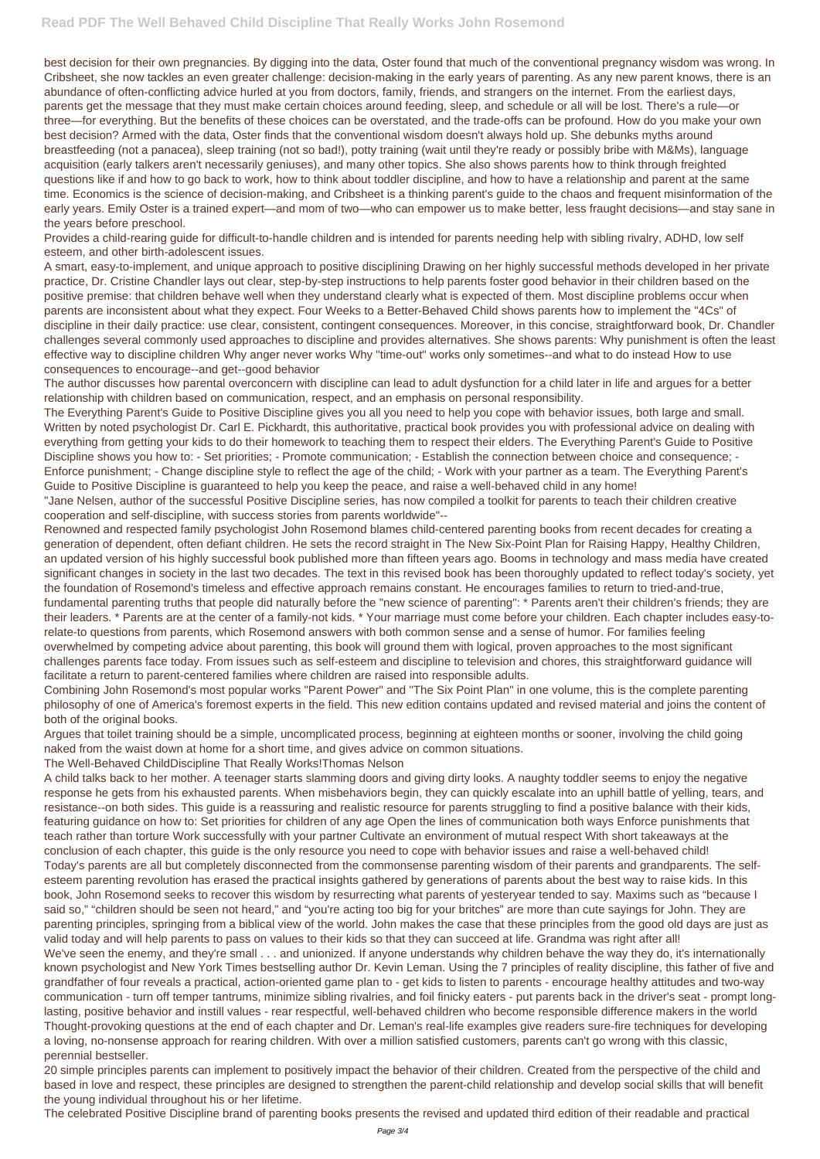best decision for their own pregnancies. By digging into the data, Oster found that much of the conventional pregnancy wisdom was wrong. In Cribsheet, she now tackles an even greater challenge: decision-making in the early years of parenting. As any new parent knows, there is an abundance of often-conflicting advice hurled at you from doctors, family, friends, and strangers on the internet. From the earliest days, parents get the message that they must make certain choices around feeding, sleep, and schedule or all will be lost. There's a rule—or three—for everything. But the benefits of these choices can be overstated, and the trade-offs can be profound. How do you make your own best decision? Armed with the data, Oster finds that the conventional wisdom doesn't always hold up. She debunks myths around breastfeeding (not a panacea), sleep training (not so bad!), potty training (wait until they're ready or possibly bribe with M&Ms), language acquisition (early talkers aren't necessarily geniuses), and many other topics. She also shows parents how to think through freighted questions like if and how to go back to work, how to think about toddler discipline, and how to have a relationship and parent at the same time. Economics is the science of decision-making, and Cribsheet is a thinking parent's guide to the chaos and frequent misinformation of the early years. Emily Oster is a trained expert—and mom of two—who can empower us to make better, less fraught decisions—and stay sane in the years before preschool.

Provides a child-rearing guide for difficult-to-handle children and is intended for parents needing help with sibling rivalry, ADHD, low self esteem, and other birth-adolescent issues.

A smart, easy-to-implement, and unique approach to positive disciplining Drawing on her highly successful methods developed in her private practice, Dr. Cristine Chandler lays out clear, step-by-step instructions to help parents foster good behavior in their children based on the positive premise: that children behave well when they understand clearly what is expected of them. Most discipline problems occur when parents are inconsistent about what they expect. Four Weeks to a Better-Behaved Child shows parents how to implement the "4Cs" of discipline in their daily practice: use clear, consistent, contingent consequences. Moreover, in this concise, straightforward book, Dr. Chandler challenges several commonly used approaches to discipline and provides alternatives. She shows parents: Why punishment is often the least effective way to discipline children Why anger never works Why "time-out" works only sometimes--and what to do instead How to use consequences to encourage--and get--good behavior

The author discusses how parental overconcern with discipline can lead to adult dysfunction for a child later in life and argues for a better relationship with children based on communication, respect, and an emphasis on personal responsibility.

The Everything Parent's Guide to Positive Discipline gives you all you need to help you cope with behavior issues, both large and small. Written by noted psychologist Dr. Carl E. Pickhardt, this authoritative, practical book provides you with professional advice on dealing with everything from getting your kids to do their homework to teaching them to respect their elders. The Everything Parent's Guide to Positive Discipline shows you how to: - Set priorities; - Promote communication; - Establish the connection between choice and consequence; - Enforce punishment; - Change discipline style to reflect the age of the child; - Work with your partner as a team. The Everything Parent's Guide to Positive Discipline is guaranteed to help you keep the peace, and raise a well-behaved child in any home!

"Jane Nelsen, author of the successful Positive Discipline series, has now compiled a toolkit for parents to teach their children creative cooperation and self-discipline, with success stories from parents worldwide"--

Renowned and respected family psychologist John Rosemond blames child-centered parenting books from recent decades for creating a generation of dependent, often defiant children. He sets the record straight in The New Six-Point Plan for Raising Happy, Healthy Children, an updated version of his highly successful book published more than fifteen years ago. Booms in technology and mass media have created significant changes in society in the last two decades. The text in this revised book has been thoroughly updated to reflect today's society, yet the foundation of Rosemond's timeless and effective approach remains constant. He encourages families to return to tried-and-true, fundamental parenting truths that people did naturally before the "new science of parenting": \* Parents aren't their children's friends; they are their leaders. \* Parents are at the center of a family-not kids. \* Your marriage must come before your children. Each chapter includes easy-torelate-to questions from parents, which Rosemond answers with both common sense and a sense of humor. For families feeling overwhelmed by competing advice about parenting, this book will ground them with logical, proven approaches to the most significant challenges parents face today. From issues such as self-esteem and discipline to television and chores, this straightforward guidance will facilitate a return to parent-centered families where children are raised into responsible adults.

Combining John Rosemond's most popular works "Parent Power" and "The Six Point Plan" in one volume, this is the complete parenting philosophy of one of America's foremost experts in the field. This new edition contains updated and revised material and joins the content of both of the original books.

Argues that toilet training should be a simple, uncomplicated process, beginning at eighteen months or sooner, involving the child going naked from the waist down at home for a short time, and gives advice on common situations.

The Well-Behaved ChildDiscipline That Really Works!Thomas Nelson

A child talks back to her mother. A teenager starts slamming doors and giving dirty looks. A naughty toddler seems to enjoy the negative response he gets from his exhausted parents. When misbehaviors begin, they can quickly escalate into an uphill battle of yelling, tears, and resistance--on both sides. This guide is a reassuring and realistic resource for parents struggling to find a positive balance with their kids, featuring guidance on how to: Set priorities for children of any age Open the lines of communication both ways Enforce punishments that teach rather than torture Work successfully with your partner Cultivate an environment of mutual respect With short takeaways at the conclusion of each chapter, this guide is the only resource you need to cope with behavior issues and raise a well-behaved child! Today's parents are all but completely disconnected from the commonsense parenting wisdom of their parents and grandparents. The selfesteem parenting revolution has erased the practical insights gathered by generations of parents about the best way to raise kids. In this book, John Rosemond seeks to recover this wisdom by resurrecting what parents of yesteryear tended to say. Maxims such as "because I said so," "children should be seen not heard," and "you're acting too big for your britches" are more than cute sayings for John. They are parenting principles, springing from a biblical view of the world. John makes the case that these principles from the good old days are just as valid today and will help parents to pass on values to their kids so that they can succeed at life. Grandma was right after all! We've seen the enemy, and they're small . . . and unionized. If anyone understands why children behave the way they do, it's internationally known psychologist and New York Times bestselling author Dr. Kevin Leman. Using the 7 principles of reality discipline, this father of five and grandfather of four reveals a practical, action-oriented game plan to - get kids to listen to parents - encourage healthy attitudes and two-way communication - turn off temper tantrums, minimize sibling rivalries, and foil finicky eaters - put parents back in the driver's seat - prompt longlasting, positive behavior and instill values - rear respectful, well-behaved children who become responsible difference makers in the world Thought-provoking questions at the end of each chapter and Dr. Leman's real-life examples give readers sure-fire techniques for developing a loving, no-nonsense approach for rearing children. With over a million satisfied customers, parents can't go wrong with this classic, perennial bestseller. 20 simple principles parents can implement to positively impact the behavior of their children. Created from the perspective of the child and based in love and respect, these principles are designed to strengthen the parent-child relationship and develop social skills that will benefit the young individual throughout his or her lifetime.

The celebrated Positive Discipline brand of parenting books presents the revised and updated third edition of their readable and practical